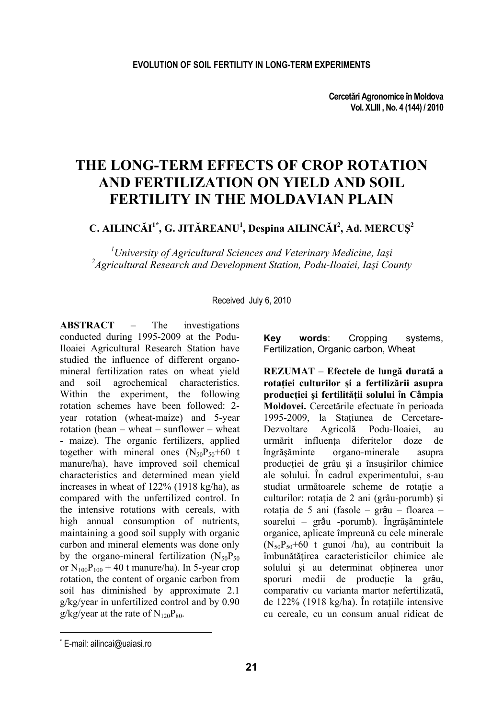# THE LONG-TERM EFFECTS OF CROP ROTATION AND FERTILIZATION ON YIELD AND SOIL FERTILITY IN THE MOLDAVIAN PLAIN

C. AILINCĂI<sup>1\*</sup>, G. JITĂREANU<sup>1</sup>, Despina AILINCĂI<sup>2</sup>, Ad. MERCUȘ<sup>2</sup>

<sup>1</sup>University of Agricultural Sciences and Veterinary Medicine, Iași <sup>2</sup>Agricultural Research and Development Station, Podu-Iloaiei, Iași County

Received July 6, 2010

**ARSTRACT** The  $\equiv$ investigations conducted during 1995-2009 at the Podu-Iloaiei Agricultural Research Station have studied the influence of different organomineral fertilization rates on wheat vield and soil agrochemical characteristics. Within the experiment, the following rotation schemes have been followed: 2year rotation (wheat-maize) and 5-year rotation (bean  $-$  wheat  $-$  sunflower  $-$  wheat - maize). The organic fertilizers, applied together with mineral ones  $(N_{50}P_{50}+60 t)$ manure/ha), have improved soil chemical characteristics and determined mean yield increases in wheat of 122% (1918 kg/ha), as compared with the unfertilized control. In the intensive rotations with cereals, with high annual consumption of nutrients, maintaining a good soil supply with organic carbon and mineral elements was done only by the organo-mineral fertilization  $(N_{50}P_{50}$ or  $N_{100}P_{100}$  + 40 t manure/ha). In 5-year crop rotation, the content of organic carbon from soil has diminished by approximate 2.1  $g/kg/year$  in unfertilized control and by 0.90  $g/kg/year$  at the rate of  $N_{120}P_{80}$ .

**Kev** words: Cropping systems. Fertilization. Organic carbon. Wheat

REZUMAT – Efectele de lungă durată a rotației culturilor și a fertilizării asupra producției și fertilității solului în Câmpia Moldovei. Cercetările efectuate în perioada 1995-2009, la Stațiunea de Cercetare-Dezvoltare Agricolă Podu-Iloaiei. au urmărit influenta diferitelor doze de organo-minerale îngrăsăminte asupra producției de grâu și a însusirilor chimice ale solului. În cadrul experimentului, s-au studiat următoarele scheme de rotație a culturilor: rotația de 2 ani (grâu-porumb) și rotația de 5 ani (fasole – grâu – floarea – soarelui - grâu -porumb). Îngrăsămintele organice, aplicate împreună cu cele minerale  $(N_{50}P_{50}+60$  t gunoi /ha), au contribuit la îmbunătățirea caracteristicilor chimice ale solului si au determinat obtinerea unor sporuri medii de productie la grâu, comparativ cu varianta martor nefertilizată. de  $122\%$  (1918 kg/ha). În rotațiile intensive cu cereale, cu un consum anual ridicat de

<sup>\*</sup> E-mail: ailincai@uaiasi.ro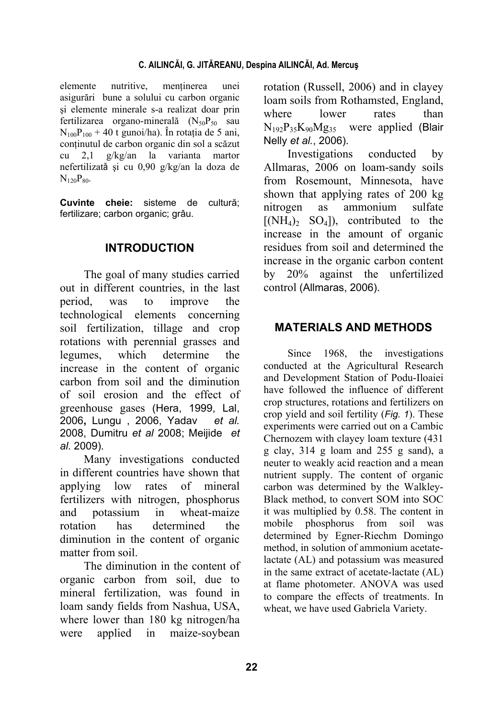elemente nutritive, mentinerea unei asigurări bune a solului cu carbon organic şi elemente minerale s-a realizat doar prin fertilizarea organo-minerală  $(N_{50}P_{50}$  sau  $N_{100}P_{100} + 40$  t gunoi/ha). În rotația de 5 ani, continutul de carbon organic din sol a scăzut cu 2,1 g/kg/an la varianta martor nefertilizată şi cu 0,90 g/kg/an la doza de  $N_{120}P_{80}$ .

**Cuvinte cheie:** sisteme de cultură; fertilizare; carbon organic; grâu.

## **INTRODUCTION**

The goal of many studies carried out in different countries, in the last period, was to improve the technological elements concerning soil fertilization, tillage and crop rotations with perennial grasses and legumes, which determine the increase in the content of organic carbon from soil and the diminution of soil erosion and the effect of greenhouse gases (Hera, 1999, Lal, 2006**,** Lungu , 2006, Yadav *et al.* 2008, Dumitru *et al* 2008; Meijide *et al.* 2009).

Many investigations conducted in different countries have shown that applying low rates of mineral fertilizers with nitrogen, phosphorus and potassium in wheat-maize rotation has determined the diminution in the content of organic matter from soil.

The diminution in the content of organic carbon from soil, due to mineral fertilization, was found in loam sandy fields from Nashua, USA, where lower than 180 kg nitrogen/ha were applied in maize-soybean

rotation (Russell, 2006) and in clayey loam soils from Rothamsted, England, where lower rates than  $N_{192}P_{35}K_{90}Mg_{35}$  were applied (Blair Nelly *et al.*, 2006).

Investigations conducted by Allmaras, 2006 on loam-sandy soils from Rosemount, Minnesota, have shown that applying rates of 200 kg nitrogen as ammonium sulfate  $[(NH<sub>4</sub>)<sub>2</sub> SO<sub>4</sub>])$ , contributed to the increase in the amount of organic residues from soil and determined the increase in the organic carbon content by 20% against the unfertilized control (Allmaras, 2006).

## **MATERIALS AND METHODS**

Since 1968, the investigations conducted at the Agricultural Research and Development Station of Podu-Iloaiei have followed the influence of different crop structures, rotations and fertilizers on crop yield and soil fertility (*Fig. 1*). These experiments were carried out on a Cambic Chernozem with clayey loam texture (431 g clay, 314 g loam and 255 g sand), a neuter to weakly acid reaction and a mean nutrient supply. The content of organic carbon was determined by the Walkley-Black method, to convert SOM into SOC it was multiplied by 0.58. The content in mobile phosphorus from soil was determined by Egner-Riechm Domingo method, in solution of ammonium acetatelactate (AL) and potassium was measured in the same extract of acetate-lactate (AL) at flame photometer. ANOVA was used to compare the effects of treatments. In wheat, we have used Gabriela Variety.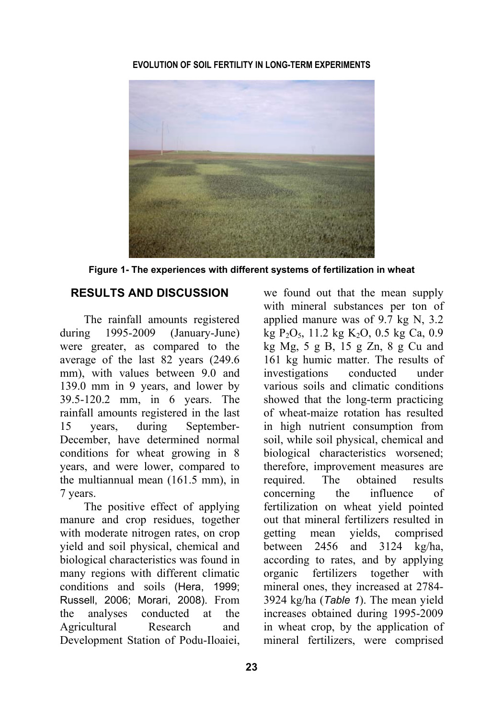**EVOLUTION OF SOIL FERTILITY IN LONG-TERM EXPERIMENTS** 



**Figure 1- The experiences with different systems of fertilization in wheat** 

## **RESULTS AND DISCUSSION**

The rainfall amounts registered during 1995-2009 (January-June) were greater, as compared to the average of the last 82 years (249.6 mm), with values between 9.0 and 139.0 mm in 9 years, and lower by 39.5-120.2 mm, in 6 years. The rainfall amounts registered in the last 15 years, during September-December, have determined normal conditions for wheat growing in 8 years, and were lower, compared to the multiannual mean (161.5 mm), in 7 years.

The positive effect of applying manure and crop residues, together with moderate nitrogen rates, on crop yield and soil physical, chemical and biological characteristics was found in many regions with different climatic conditions and soils (Hera, 1999; Russell, 2006; Morari, 2008). From the analyses conducted at the Agricultural Research and Development Station of Podu-Iloaiei,

we found out that the mean supply with mineral substances per ton of applied manure was of 9.7 kg N, 3.2 kg  $P_2O_5$ , 11.2 kg  $K_2O$ , 0.5 kg Ca, 0.9 kg Mg, 5 g B, 15 g Zn, 8 g Cu and 161 kg humic matter. The results of investigations conducted under various soils and climatic conditions showed that the long-term practicing of wheat-maize rotation has resulted in high nutrient consumption from soil, while soil physical, chemical and biological characteristics worsened; therefore, improvement measures are required. The obtained results concerning the influence of fertilization on wheat yield pointed out that mineral fertilizers resulted in getting mean yields, comprised between 2456 and 3124 kg/ha, according to rates, and by applying organic fertilizers together with mineral ones, they increased at 2784- 3924 kg/ha (*Table 1*). The mean yield increases obtained during 1995-2009 in wheat crop, by the application of mineral fertilizers, were comprised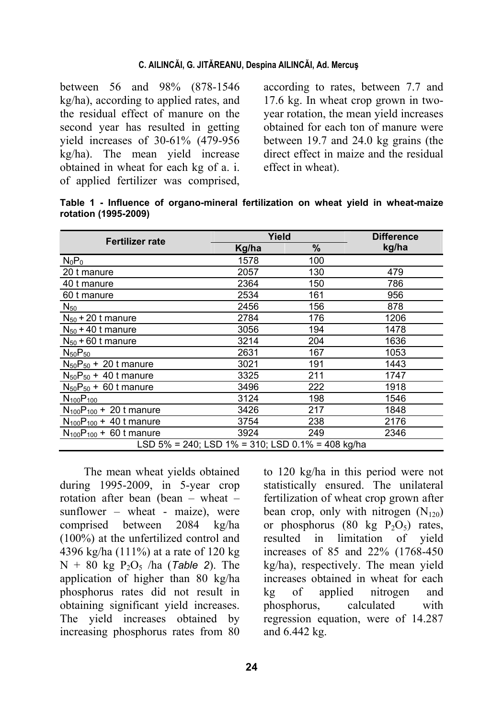#### **C. AILINCĂI, G. JITĂREANU, Despina AILINCĂI, Ad. Mercuş**

between 56 and 98% (878-1546 kg/ha), according to applied rates, and the residual effect of manure on the second year has resulted in getting yield increases of 30-61% (479-956 kg/ha). The mean yield increase obtained in wheat for each kg of a. i. of applied fertilizer was comprised,

according to rates, between 7.7 and 17.6 kg. In wheat crop grown in twoyear rotation, the mean yield increases obtained for each ton of manure were between 19.7 and 24.0 kg grains (the direct effect in maize and the residual effect in wheat).

**Table 1 - Influence of organo-mineral fertilization on wheat yield in wheat-maize rotation (1995-2009)** 

| <b>Fertilizer rate</b>                           | Yield | <b>Difference</b> |       |  |  |  |  |
|--------------------------------------------------|-------|-------------------|-------|--|--|--|--|
|                                                  | Kg/ha | %                 | kg/ha |  |  |  |  |
| $N_0P_0$                                         | 1578  | 100               |       |  |  |  |  |
| 20 t manure                                      | 2057  | 130               | 479   |  |  |  |  |
| 40 t manure                                      | 2364  | 150               | 786   |  |  |  |  |
| 60 t manure                                      | 2534  | 161               | 956   |  |  |  |  |
| $N_{50}$                                         | 2456  | 156               | 878   |  |  |  |  |
| $N_{50}$ + 20 t manure                           | 2784  | 176               | 1206  |  |  |  |  |
| $N_{50}$ + 40 t manure                           | 3056  | 194               | 1478  |  |  |  |  |
| $N_{50}$ + 60 t manure                           | 3214  | 204               | 1636  |  |  |  |  |
| $N_{50}P_{50}$                                   | 2631  | 167               | 1053  |  |  |  |  |
| $N_{50}P_{50}$ + 20 t manure                     | 3021  | 191               | 1443  |  |  |  |  |
| $N_{50}P_{50}$ + 40 t manure                     | 3325  | 211               | 1747  |  |  |  |  |
| $N_{50}P_{50}$ + 60 t manure                     | 3496  | 222               | 1918  |  |  |  |  |
| $N_{100}P_{100}$                                 | 3124  | 198               | 1546  |  |  |  |  |
| $N_{100}P_{100}$ + 20 t manure                   | 3426  | 217               | 1848  |  |  |  |  |
| $N_{100}P_{100}$ + 40 t manure                   | 3754  | 238               | 2176  |  |  |  |  |
| $N_{100}P_{100}$ + 60 t manure                   | 3924  | 249               | 2346  |  |  |  |  |
| LSD 5% = 240; LSD 1% = 310; LSD 0.1% = 408 kg/ha |       |                   |       |  |  |  |  |

The mean wheat yields obtained during 1995-2009, in 5-year crop rotation after bean (bean – wheat – sunflower – wheat - maize), were comprised between 2084 kg/ha (100%) at the unfertilized control and 4396 kg/ha (111%) at a rate of 120 kg  $N + 80$  kg  $P_2O_5$  /ha (*Table 2*). The application of higher than 80 kg/ha phosphorus rates did not result in obtaining significant yield increases. The yield increases obtained by increasing phosphorus rates from 80

to 120 kg/ha in this period were not statistically ensured. The unilateral fertilization of wheat crop grown after bean crop, only with nitrogen  $(N_{120})$ or phosphorus (80 kg  $P_2O_5$ ) rates, resulted in limitation of yield increases of 85 and 22% (1768-450 kg/ha), respectively. The mean yield increases obtained in wheat for each kg of applied nitrogen and phosphorus, calculated with regression equation, were of 14.287 and 6.442 kg.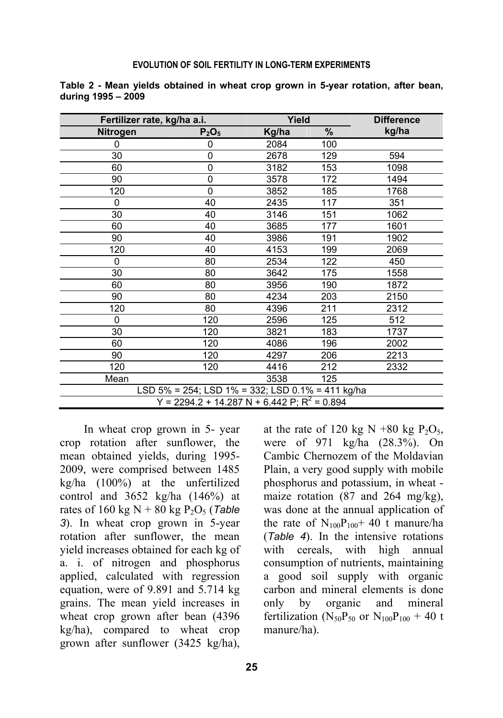#### **EVOLUTION OF SOIL FERTILITY IN LONG-TERM EXPERIMENTS**

| Fertilizer rate, kg/ha a.i.                    |                                                  | Yield |      | <b>Difference</b> |  |  |  |
|------------------------------------------------|--------------------------------------------------|-------|------|-------------------|--|--|--|
| <b>Nitrogen</b>                                | $P_2O_5$                                         | Kg/ha | $\%$ | kg/ha             |  |  |  |
| 0                                              | 0                                                | 2084  | 100  |                   |  |  |  |
| 30                                             | 0                                                | 2678  | 129  | 594               |  |  |  |
| 60                                             | 0                                                | 3182  | 153  | 1098              |  |  |  |
| 90                                             | 0                                                | 3578  | 172  | 1494              |  |  |  |
| 120                                            | $\mathbf{0}$                                     | 3852  | 185  | 1768              |  |  |  |
| $\mathbf{0}$                                   | 40                                               | 2435  | 117  | 351               |  |  |  |
| 30                                             | 40                                               | 3146  | 151  | 1062              |  |  |  |
| 60                                             | 40                                               | 3685  | 177  | 1601              |  |  |  |
| 90                                             | 40                                               | 3986  | 191  | 1902              |  |  |  |
| 120                                            | 40                                               | 4153  | 199  | 2069              |  |  |  |
| $\mathbf{0}$                                   | 80                                               | 2534  | 122  | 450               |  |  |  |
| 30                                             | 80                                               | 3642  | 175  | 1558              |  |  |  |
| 60                                             | 80                                               | 3956  | 190  | 1872              |  |  |  |
| 90                                             | 80                                               | 4234  | 203  | 2150              |  |  |  |
| 120                                            | 80                                               | 4396  | 211  | 2312              |  |  |  |
| $\mathbf{0}$                                   | 120                                              | 2596  | 125  | 512               |  |  |  |
| 30                                             | 120                                              | 3821  | 183  | 1737              |  |  |  |
| 60                                             | 120                                              | 4086  | 196  | 2002              |  |  |  |
| 90                                             | 120                                              | 4297  | 206  | 2213              |  |  |  |
| 120                                            | 120                                              | 4416  | 212  | 2332              |  |  |  |
| Mean                                           |                                                  | 3538  | 125  |                   |  |  |  |
|                                                | LSD 5% = 254; LSD 1% = 332; LSD 0.1% = 411 kg/ha |       |      |                   |  |  |  |
| Y = 2294.2 + 14.287 N + 6.442 P; $R^2$ = 0.894 |                                                  |       |      |                   |  |  |  |

**Table 2 - Mean yields obtained in wheat crop grown in 5-year rotation, after bean, during 1995 – 2009** 

In wheat crop grown in 5- year crop rotation after sunflower, the mean obtained yields, during 1995- 2009, were comprised between 1485 kg/ha (100%) at the unfertilized control and 3652 kg/ha (146%) at rates of 160 kg N + 80 kg P<sub>2</sub>O<sub>5</sub> (*Table 3*). In wheat crop grown in 5-year rotation after sunflower, the mean yield increases obtained for each kg of a. i. of nitrogen and phosphorus applied, calculated with regression equation, were of 9.891 and 5.714 kg grains. The mean yield increases in wheat crop grown after bean (4396 kg/ha), compared to wheat crop grown after sunflower (3425 kg/ha),

at the rate of 120 kg N +80 kg  $P_2O_5$ , were of 971 kg/ha (28.3%). On Cambic Chernozem of the Moldavian Plain, a very good supply with mobile phosphorus and potassium, in wheat maize rotation (87 and 264 mg/kg), was done at the annual application of the rate of  $N_{100}P_{100}$ + 40 t manure/ha (*Table 4*). In the intensive rotations with cereals, with high annual consumption of nutrients, maintaining a good soil supply with organic carbon and mineral elements is done only by organic and mineral fertilization ( $N_{50}P_{50}$  or  $N_{100}P_{100}$  + 40 t manure/ha).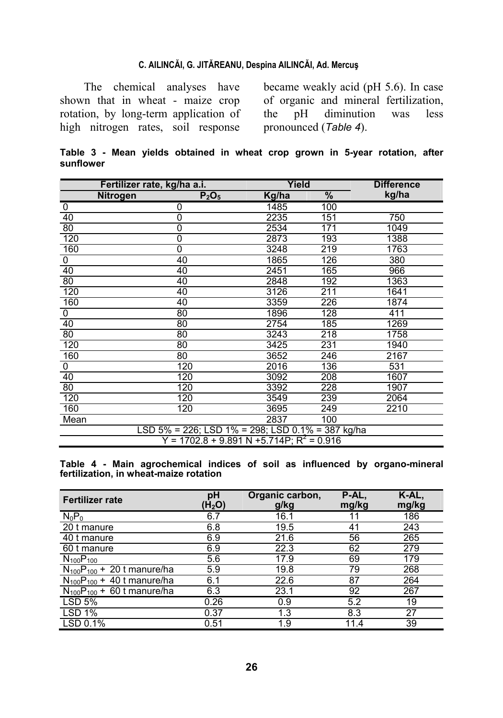#### **C. AILINCĂI, G. JITĂREANU, Despina AILINCĂI, Ad. Mercuş**

The chemical analyses have shown that in wheat - maize crop rotation, by long-term application of high nitrogen rates, soil response

became weakly acid (pH 5.6). In case of organic and mineral fertilization, the pH diminution was less pronounced (*Table 4*).

|           |  |  | Table 3 - Mean yields obtained in wheat crop grown in 5-year rotation, after |  |  |  |  |
|-----------|--|--|------------------------------------------------------------------------------|--|--|--|--|
| sunflower |  |  |                                                                              |  |  |  |  |

| Fertilizer rate, kg/ha a.i.                      |          | Yield |      | <b>Difference</b> |  |  |
|--------------------------------------------------|----------|-------|------|-------------------|--|--|
| Nitrogen                                         | $P_2O_5$ | Kg/ha | $\%$ | kg/ha             |  |  |
| 0                                                | 0        | 1485  | 100  |                   |  |  |
| 40                                               | 0        | 2235  | 151  | 750               |  |  |
| 80                                               | 0        | 2534  | 171  | 1049              |  |  |
| 120                                              | 0        | 2873  | 193  | 1388              |  |  |
| 160                                              | 0        | 3248  | 219  | 1763              |  |  |
| 0                                                | 40       | 1865  | 126  | 380               |  |  |
| 40                                               | 40       | 2451  | 165  | 966               |  |  |
| 80                                               | 40       | 2848  | 192  | 1363              |  |  |
| 120                                              | 40       | 3126  | 211  | 1641              |  |  |
| 160                                              | 40       | 3359  | 226  | 1874              |  |  |
| 0                                                | 80       | 1896  | 128  | 411               |  |  |
| 40                                               | 80       | 2754  | 185  | 1269              |  |  |
| 80                                               | 80       | 3243  | 218  | 1758              |  |  |
| 120                                              | 80       | 3425  | 231  | 1940              |  |  |
| 160                                              | 80       | 3652  | 246  | 2167              |  |  |
| 0                                                | 120      | 2016  | 136  | 531               |  |  |
| 40                                               | 120      | 3092  | 208  | 1607              |  |  |
| $\overline{80}$                                  | 120      | 3392  | 228  | 1907              |  |  |
| 120                                              | 120      | 3549  | 239  | 2064              |  |  |
| 160                                              | 120      | 3695  | 249  | 2210              |  |  |
| Mean                                             |          | 2837  | 100  |                   |  |  |
| LSD 5% = 226; LSD 1% = 298; LSD 0.1% = 387 kg/ha |          |       |      |                   |  |  |
| $Y = 1702.8 + 9.891 N + 5.714 P$ ; $R^2 = 0.916$ |          |       |      |                   |  |  |

**Table 4 - Main agrochemical indices of soil as influenced by organo-mineral fertilization, in wheat-maize rotation** 

| <b>Fertilizer rate</b>            | pH<br>(H $_{2}$ O) | Organic carbon,<br>g/kg | P-AL,<br>mg/kg | K-AL,<br>mg/kg |
|-----------------------------------|--------------------|-------------------------|----------------|----------------|
| $N_0P_0$                          | 6.7                | 16.1                    | 11             | 186            |
| 20 t manure                       | 6.8                | 19.5                    | 41             | 243            |
| 40 t manure                       | 6.9                | 21.6                    | 56             | 265            |
| 60 t manure                       | 6.9                | 22.3                    | 62             | 279            |
| $N_{100}P_{100}$                  | 5.6                | 17.9                    | 69             | 179            |
| $N_{100}P_{100}$ + 20 t manure/ha | 5.9                | 19.8                    | 79             | 268            |
| $N_{100}P_{100}$ + 40 t manure/ha | 6.1                | 22.6                    | 87             | 264            |
| $N_{100}P_{100}$ + 60 t manure/ha | 6.3                | 23.1                    | 92             | 267            |
| <b>LSD 5%</b>                     | 0.26               | 0.9                     | 5.2            | 19             |
| <b>LSD 1%</b>                     | 0.37               | 1.3                     | 8.3            | 27             |
| LSD 0.1%                          | 0.51               | 1.9                     | 11.4           | 39             |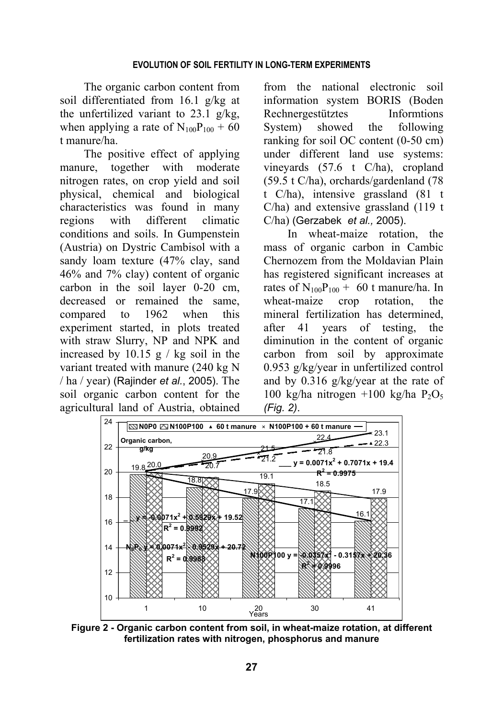The organic carbon content from soil differentiated from 16.1 g/kg at the unfertilized variant to  $23.1 \text{ g/kg}$ , when applying a rate of  $N_{100}P_{100}$  + 60 t manure/ha.

The positive effect of applying manure, together with moderate nitrogen rates, on crop yield and soil physical, chemical and biological characteristics was found in many regions with different climatic conditions and soils. In Gumpenstein (Austria) on Dystric Cambisol with a sandy loam texture (47% clay, sand 46% and 7% clay) content of organic carbon in the soil layer 0-20 cm, decreased or remained the same, compared to 1962 when this experiment started, in plots treated with straw Slurry, NP and NPK and increased by  $10.15$  g / kg soil in the variant treated with manure (240 kg N / ha / year) (Rajinder *et al.*, 2005). The soil organic carbon content for the agricultural land of Austria, obtained

from the national electronic soil information system BORIS (Boden Rechnergestütztes Informtions System) showed the following ranking for soil OC content (0-50 cm) under different land use systems: vineyards (57.6 t C/ha), cropland (59.5 t C/ha), orchards/gardenland (78 t C/ha), intensive grassland (81 t C/ha) and extensive grassland (119 t C/ha) (Gerzabek *et al.,* 2005).

In wheat-maize rotation, the mass of organic carbon in Cambic Chernozem from the Moldavian Plain has registered significant increases at rates of  $N_{100}P_{100}$  + 60 t manure/ha. In wheat-maize crop rotation, the mineral fertilization has determined, after 41 years of testing, the diminution in the content of organic carbon from soil by approximate 0.953 g/kg/year in unfertilized control and by 0.316 g/kg/year at the rate of 100 kg/ha nitrogen +100 kg/ha  $P_2O_5$ *(Fig. 2)*.



**Figure 2 - Organic carbon content from soil, in wheat-maize rotation, at different fertilization rates with nitrogen, phosphorus and manure**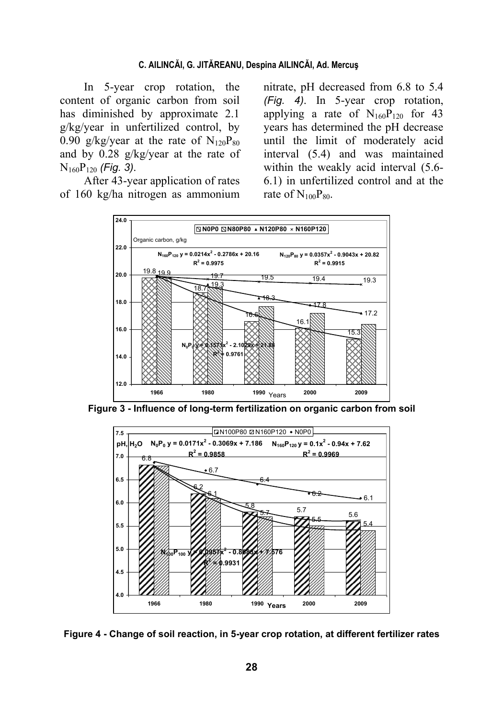#### C. AILINCĂI, G. JITĂREANU, Despina AILINCĂI, Ad. Mercus

In 5-year crop rotation, the content of organic carbon from soil has diminished by approximate 2.1 g/kg/year in unfertilized control, by 0.90 g/kg/year at the rate of  $N_{120}P_{80}$ and by  $0.28$  g/kg/year at the rate of  $N_{160}P_{120}$  (Fig. 3).

After 43-year application of rates of 160 kg/ha nitrogen as ammonium

nitrate, pH decreased from 6.8 to 5.4 (Fig. 4). In 5-year crop rotation, applying a rate of  $N_{160}P_{120}$  for 43 years has determined the pH decrease until the limit of moderately acid interval (5.4) and was maintained within the weakly acid interval (5.6-6.1) in unfertilized control and at the rate of  $N_{100}P_{80}$ .



Figure 3 - Influence of long-term fertilization on organic carbon from soil



Figure 4 - Change of soil reaction, in 5-year crop rotation, at different fertilizer rates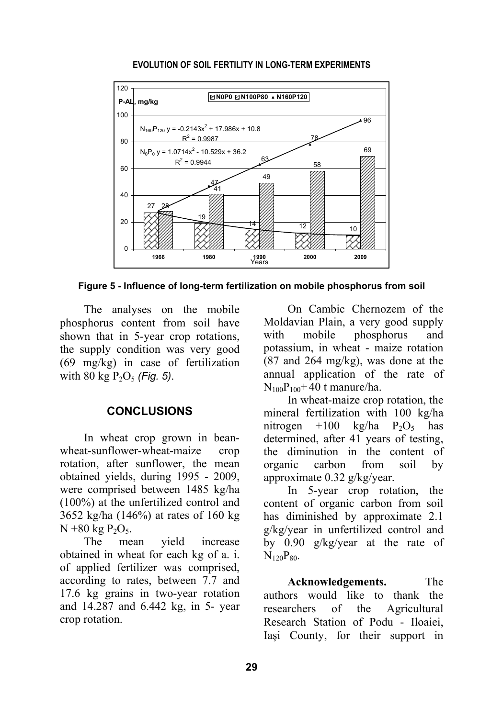

#### **EVOLUTION OF SOIL FERTILITY IN LONG-TERM EXPERIMENTS**

**Figure 5 - Influence of long-term fertilization on mobile phosphorus from soil** 

The analyses on the mobile phosphorus content from soil have shown that in 5-year crop rotations, the supply condition was very good (69 mg/kg) in case of fertilization with 80 kg  $P_2O_5$  *(Fig. 5)*.

### **CONCLUSIONS**

In wheat crop grown in beanwheat-sunflower-wheat-maize crop rotation, after sunflower, the mean obtained yields, during 1995 - 2009, were comprised between 1485 kg/ha (100%) at the unfertilized control and 3652 kg/ha (146%) at rates of 160 kg  $N + 80$  kg  $P_2O_5$ .

The mean yield increase obtained in wheat for each kg of a. i. of applied fertilizer was comprised, according to rates, between 7.7 and 17.6 kg grains in two-year rotation and 14.287 and 6.442 kg, in 5- year crop rotation.

On Cambic Chernozem of the Moldavian Plain, a very good supply with mobile phosphorus and potassium, in wheat - maize rotation (87 and 264 mg/kg), was done at the annual application of the rate of  $N_{100}P_{100} + 40$  t manure/ha.

In wheat-maize crop rotation, the mineral fertilization with 100 kg/ha nitrogen +100 kg/ha  $P_2O_5$  has determined, after 41 years of testing, the diminution in the content of organic carbon from soil by approximate 0.32 g/kg/year.

In 5-year crop rotation, the content of organic carbon from soil has diminished by approximate 2.1 g/kg/year in unfertilized control and by 0.90 g/kg/year at the rate of  $N_{120}P_{80}$ 

**Acknowledgements.** The authors would like to thank the researchers of the Agricultural Research Station of Podu - Iloaiei, Iaşi County, for their support in